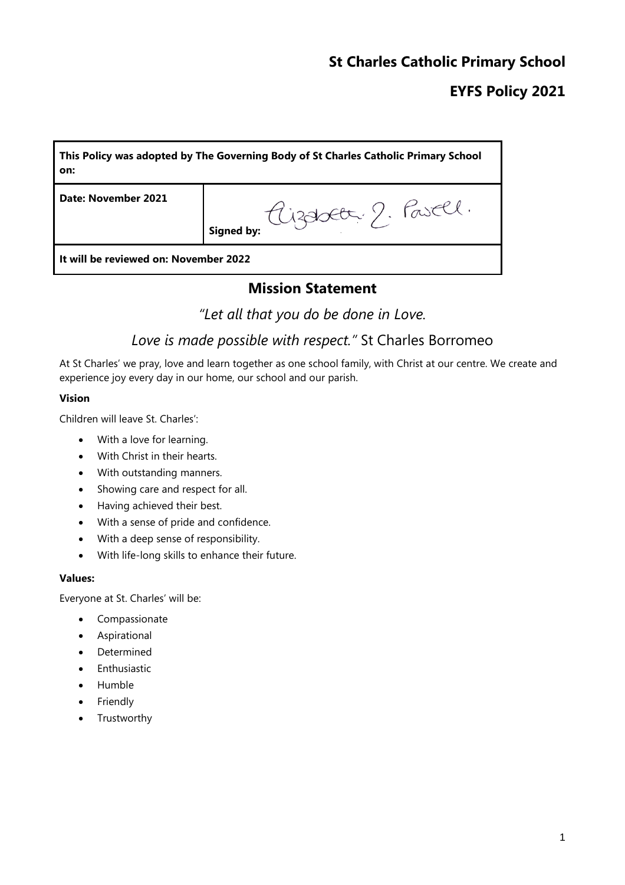### **St Charles Catholic Primary School**

## **EYFS Policy 2021**

| This Policy was adopted by The Governing Body of St Charles Catholic Primary School<br>on: |                                          |  |
|--------------------------------------------------------------------------------------------|------------------------------------------|--|
| Date: November 2021                                                                        | aizabeta 2. Pasell.<br><b>Signed by:</b> |  |
| It will be reviewed on: November 2022                                                      |                                          |  |

#### **Mission Statement**

*"Let all that you do be done in Love.*

## *Love is made possible with respect."* St Charles Borromeo

At St Charles' we pray, love and learn together as one school family, with Christ at our centre. We create and experience joy every day in our home, our school and our parish.

#### **Vision**

Children will leave St. Charles':

- With a love for learning.
- With Christ in their hearts.
- With outstanding manners.
- Showing care and respect for all.
- Having achieved their best.
- With a sense of pride and confidence.
- With a deep sense of responsibility.
- With life-long skills to enhance their future.

#### **Values:**

Everyone at St. Charles' will be:

- Compassionate
- Aspirational
- Determined
- **•** Enthusiastic
- Humble
- Friendly
- Trustworthy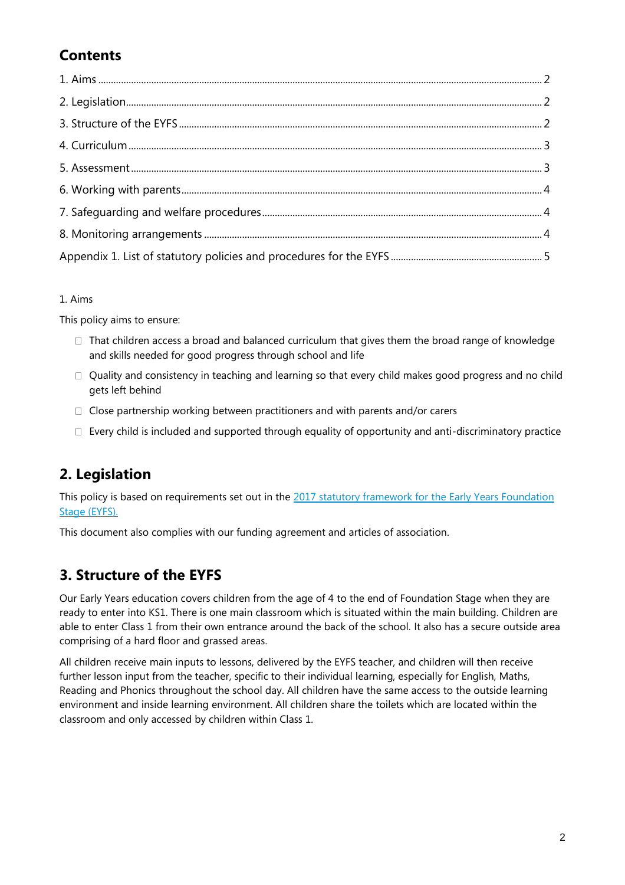# **Contents**

1. Aims

This policy aims to ensure:

- $\Box$  That children access a broad and balanced curriculum that gives them the broad range of knowledge and skills needed for good progress through school and life
- $\Box$  Quality and consistency in teaching and learning so that every child makes good progress and no child gets left behind
- $\Box$  Close partnership working between practitioners and with parents and/or carers
- $\Box$  Every child is included and supported through equality of opportunity and anti-discriminatory practice

## **2. Legislation**

This policy is based on requirements set out in the [2017 statutory framework for](https://www.gov.uk/government/uploads/system/uploads/attachment_data/file/596629/EYFS_STATUTORY_FRAMEWORK_2017.pdf) the Early Years Foundation [Stage \(EYFS\).](https://www.gov.uk/government/uploads/system/uploads/attachment_data/file/596629/EYFS_STATUTORY_FRAMEWORK_2017.pdf)

This document also complies with our funding agreement and articles of association.

## **3. Structure of the EYFS**

Our Early Years education covers children from the age of 4 to the end of Foundation Stage when they are ready to enter into KS1. There is one main classroom which is situated within the main building. Children are able to enter Class 1 from their own entrance around the back of the school. It also has a secure outside area comprising of a hard floor and grassed areas.

All children receive main inputs to lessons, delivered by the EYFS teacher, and children will then receive further lesson input from the teacher, specific to their individual learning, especially for English, Maths, Reading and Phonics throughout the school day. All children have the same access to the outside learning environment and inside learning environment. All children share the toilets which are located within the classroom and only accessed by children within Class 1.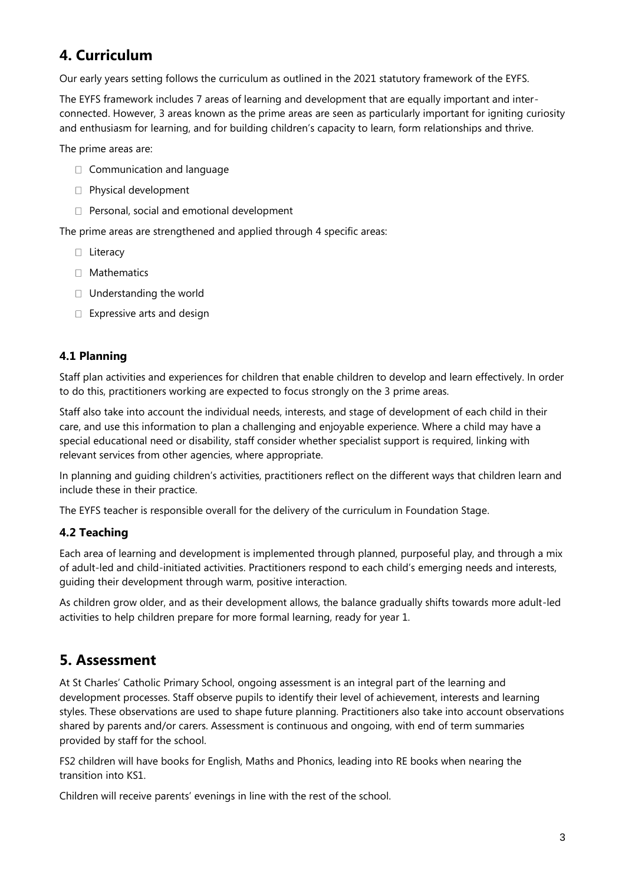## **4. Curriculum**

Our early years setting follows the curriculum as outlined in the 2021 statutory framework of the EYFS.

The EYFS framework includes 7 areas of learning and development that are equally important and interconnected. However, 3 areas known as the prime areas are seen as particularly important for igniting curiosity and enthusiasm for learning, and for building children's capacity to learn, form relationships and thrive.

The prime areas are:

- □ Communication and language
- **Physical development**
- $\Box$  Personal, social and emotional development

The prime areas are strengthened and applied through 4 specific areas:

- □ Literacy
- $\Box$  Mathematics
- □ Understanding the world
- □ Expressive arts and design

#### **4.1 Planning**

Staff plan activities and experiences for children that enable children to develop and learn effectively. In order to do this, practitioners working are expected to focus strongly on the 3 prime areas.

Staff also take into account the individual needs, interests, and stage of development of each child in their care, and use this information to plan a challenging and enjoyable experience. Where a child may have a special educational need or disability, staff consider whether specialist support is required, linking with relevant services from other agencies, where appropriate.

In planning and guiding children's activities, practitioners reflect on the different ways that children learn and include these in their practice.

The EYFS teacher is responsible overall for the delivery of the curriculum in Foundation Stage.

#### **4.2 Teaching**

Each area of learning and development is implemented through planned, purposeful play, and through a mix of adult-led and child-initiated activities. Practitioners respond to each child's emerging needs and interests, guiding their development through warm, positive interaction.

As children grow older, and as their development allows, the balance gradually shifts towards more adult-led activities to help children prepare for more formal learning, ready for year 1.

### **5. Assessment**

At St Charles' Catholic Primary School, ongoing assessment is an integral part of the learning and development processes. Staff observe pupils to identify their level of achievement, interests and learning styles. These observations are used to shape future planning. Practitioners also take into account observations shared by parents and/or carers. Assessment is continuous and ongoing, with end of term summaries provided by staff for the school.

FS2 children will have books for English, Maths and Phonics, leading into RE books when nearing the transition into KS1.

Children will receive parents' evenings in line with the rest of the school.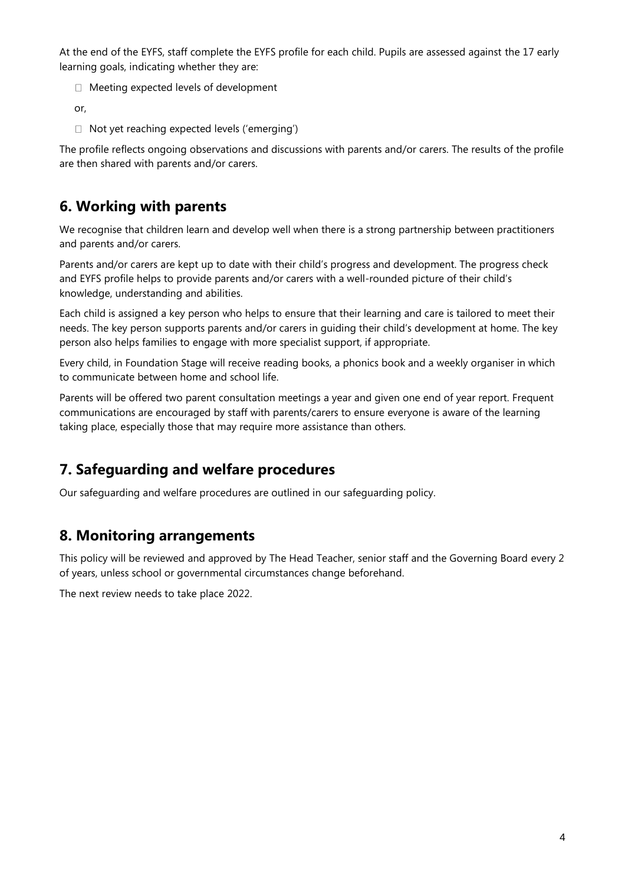At the end of the EYFS, staff complete the EYFS profile for each child. Pupils are assessed against the 17 early learning goals, indicating whether they are:

□ Meeting expected levels of development

or,

□ Not yet reaching expected levels ('emerging')

The profile reflects ongoing observations and discussions with parents and/or carers. The results of the profile are then shared with parents and/or carers.

### **6. Working with parents**

We recognise that children learn and develop well when there is a strong partnership between practitioners and parents and/or carers.

Parents and/or carers are kept up to date with their child's progress and development. The progress check and EYFS profile helps to provide parents and/or carers with a well-rounded picture of their child's knowledge, understanding and abilities.

Each child is assigned a key person who helps to ensure that their learning and care is tailored to meet their needs. The key person supports parents and/or carers in guiding their child's development at home. The key person also helps families to engage with more specialist support, if appropriate.

Every child, in Foundation Stage will receive reading books, a phonics book and a weekly organiser in which to communicate between home and school life.

Parents will be offered two parent consultation meetings a year and given one end of year report. Frequent communications are encouraged by staff with parents/carers to ensure everyone is aware of the learning taking place, especially those that may require more assistance than others.

## **7. Safeguarding and welfare procedures**

Our safeguarding and welfare procedures are outlined in our safeguarding policy.

### **8. Monitoring arrangements**

This policy will be reviewed and approved by The Head Teacher, senior staff and the Governing Board every 2 of years, unless school or governmental circumstances change beforehand.

The next review needs to take place 2022.